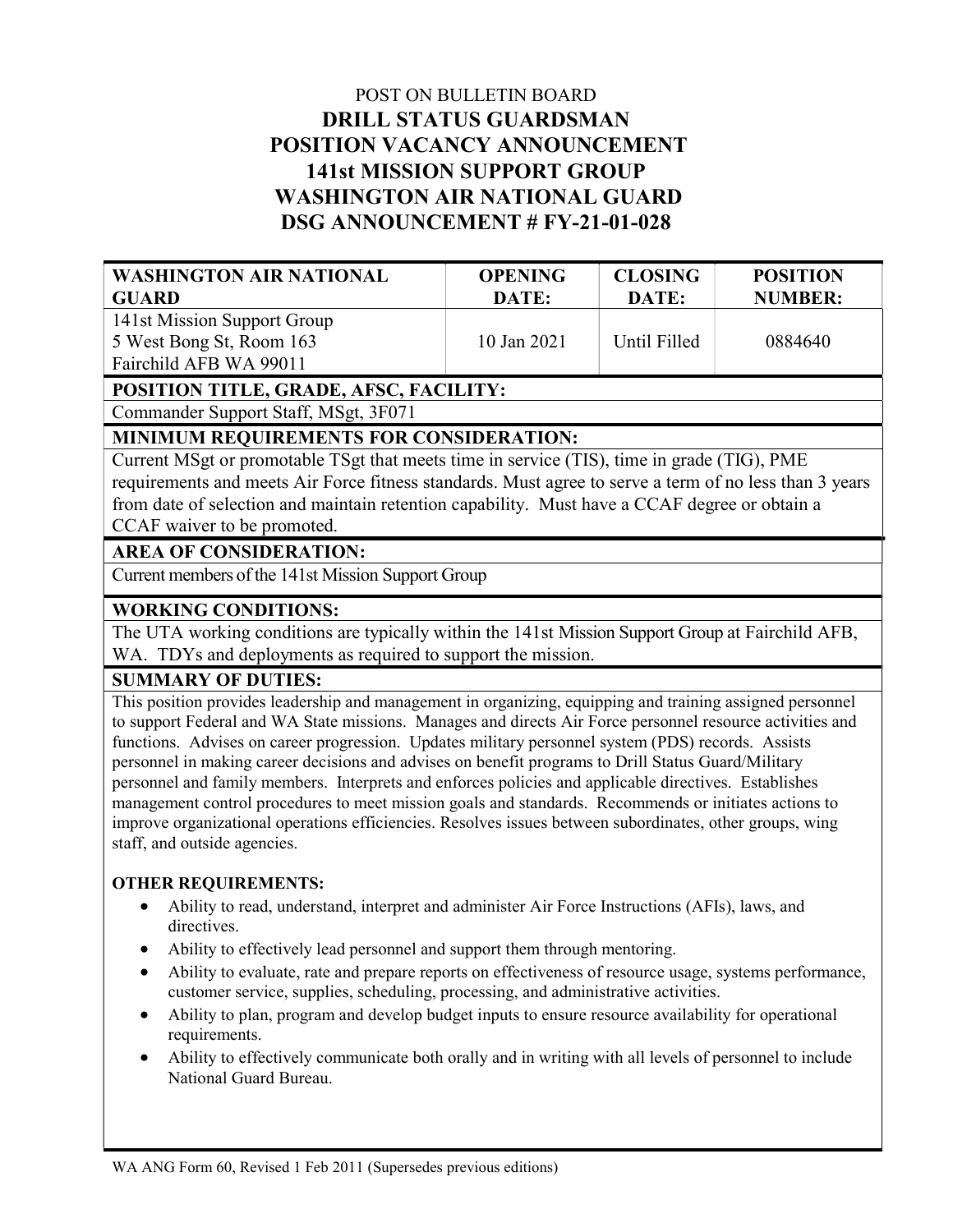# POST ON BULLETIN BOARD DRILL STATUS GUARDSMAN POSITION VACANCY ANNOUNCEMENT 141st MISSION SUPPORT GROUP WASHINGTON AIR NATIONAL GUARD DSG ANNOUNCEMENT # FY-21-01-028

| <b>WASHINGTON AIR NATIONAL</b><br><b>GUARD</b> | <b>OPENING</b><br>DATE: | <b>CLOSING</b><br>DATE: | <b>POSITION</b><br><b>NUMBER:</b> |
|------------------------------------------------|-------------------------|-------------------------|-----------------------------------|
| 141st Mission Support Group                    |                         |                         |                                   |
| 5 West Bong St, Room 163                       | 10 Jan 2021             | Until Filled            | 0884640                           |
| Fairchild AFB WA 99011                         |                         |                         |                                   |

# POSITION TITLE, GRADE, AFSC, FACILITY:

Commander Support Staff, MSgt, 3F071

# MINIMUM REQUIREMENTS FOR CONSIDERATION:

Current MSgt or promotable TSgt that meets time in service (TIS), time in grade (TIG), PME requirements and meets Air Force fitness standards. Must agree to serve a term of no less than 3 years from date of selection and maintain retention capability. Must have a CCAF degree or obtain a CCAF waiver to be promoted.

## AREA OF CONSIDERATION:

Current members of the 141st Mission Support Group

## WORKING CONDITIONS:

The UTA working conditions are typically within the 141st Mission Support Group at Fairchild AFB, WA. TDYs and deployments as required to support the mission.

#### SUMMARY OF DUTIES:

This position provides leadership and management in organizing, equipping and training assigned personnel to support Federal and WA State missions. Manages and directs Air Force personnel resource activities and functions. Advises on career progression. Updates military personnel system (PDS) records. Assists personnel in making career decisions and advises on benefit programs to Drill Status Guard/Military personnel and family members. Interprets and enforces policies and applicable directives. Establishes management control procedures to meet mission goals and standards. Recommends or initiates actions to improve organizational operations efficiencies. Resolves issues between subordinates, other groups, wing staff, and outside agencies.

#### OTHER REQUIREMENTS:

- Ability to read, understand, interpret and administer Air Force Instructions (AFIs), laws, and directives.
- Ability to effectively lead personnel and support them through mentoring.
- Ability to evaluate, rate and prepare reports on effectiveness of resource usage, systems performance, customer service, supplies, scheduling, processing, and administrative activities.
- Ability to plan, program and develop budget inputs to ensure resource availability for operational requirements.
- Ability to effectively communicate both orally and in writing with all levels of personnel to include National Guard Bureau.